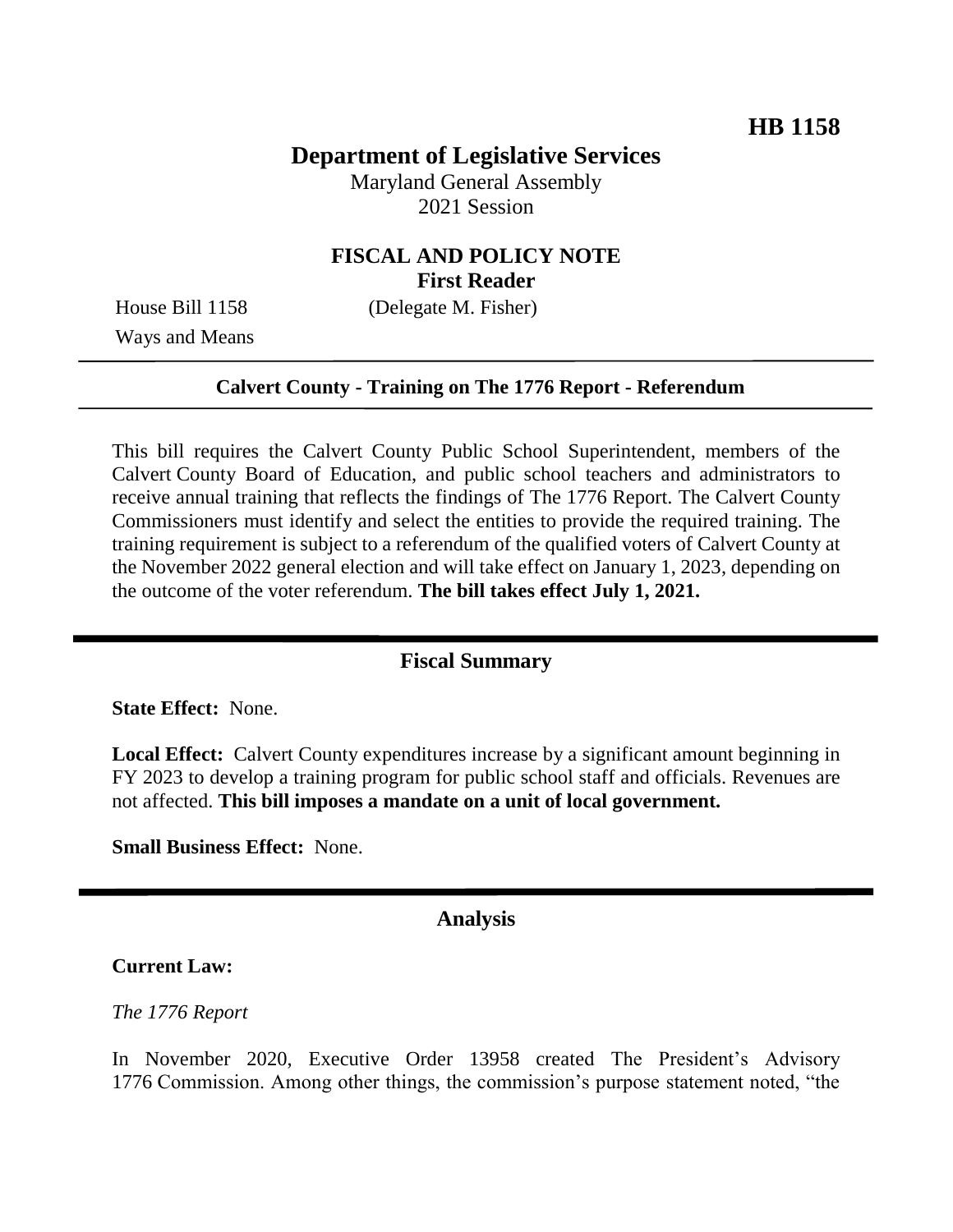# **Department of Legislative Services**

Maryland General Assembly 2021 Session

## **FISCAL AND POLICY NOTE First Reader**

House Bill 1158 (Delegate M. Fisher)

Ways and Means

### **Calvert County - Training on The 1776 Report - Referendum**

This bill requires the Calvert County Public School Superintendent, members of the Calvert County Board of Education, and public school teachers and administrators to receive annual training that reflects the findings of The 1776 Report. The Calvert County Commissioners must identify and select the entities to provide the required training. The training requirement is subject to a referendum of the qualified voters of Calvert County at the November 2022 general election and will take effect on January 1, 2023, depending on the outcome of the voter referendum. **The bill takes effect July 1, 2021.**

### **Fiscal Summary**

**State Effect:** None.

**Local Effect:** Calvert County expenditures increase by a significant amount beginning in FY 2023 to develop a training program for public school staff and officials. Revenues are not affected. **This bill imposes a mandate on a unit of local government.** 

**Small Business Effect:** None.

### **Analysis**

#### **Current Law:**

#### *The 1776 Report*

In November 2020, Executive Order 13958 created The President's Advisory 1776 Commission. Among other things, the commission's purpose statement noted, "the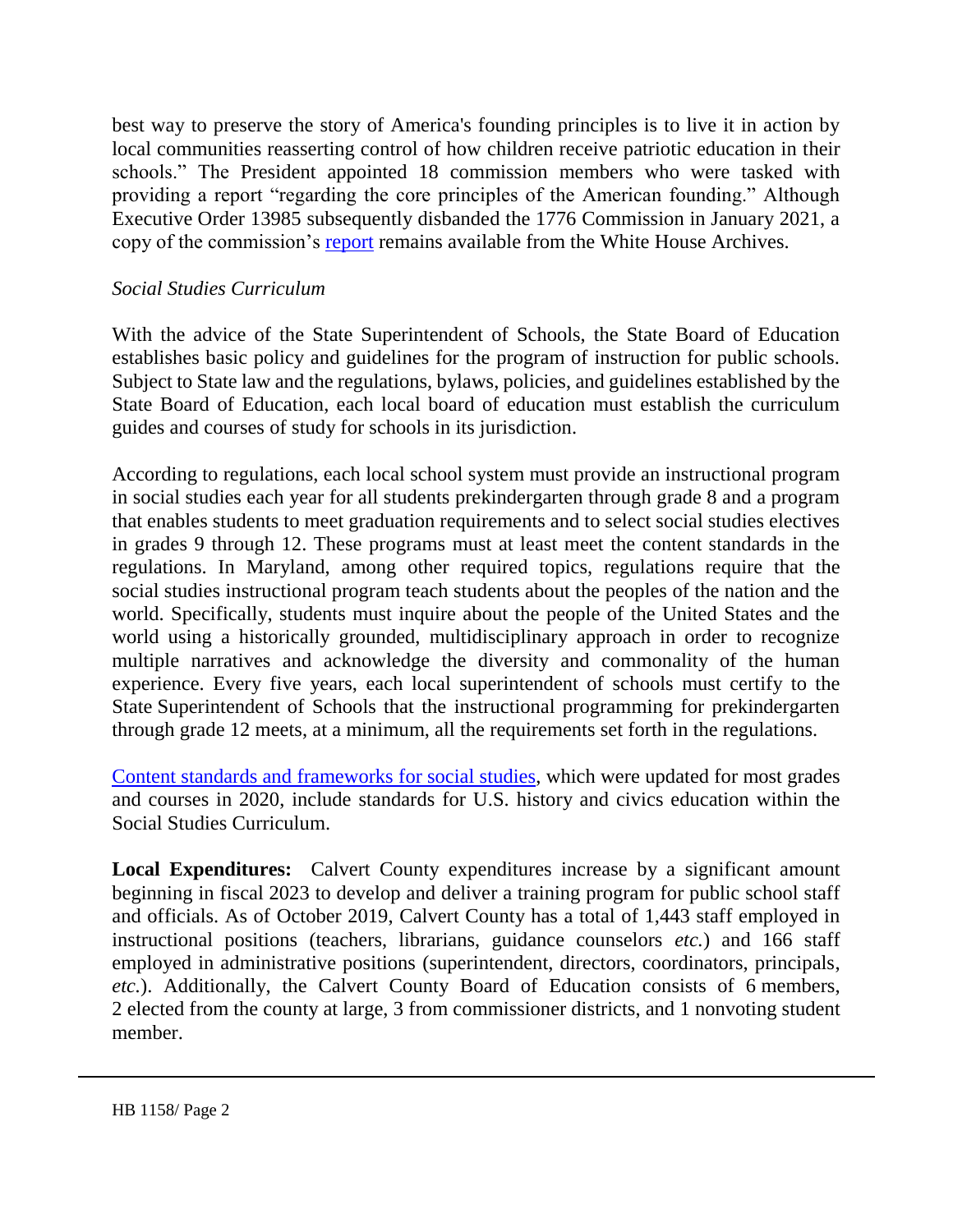best way to preserve the story of America's founding principles is to live it in action by local communities reasserting control of how children receive patriotic education in their schools." The President appointed 18 commission members who were tasked with providing a report "regarding the core principles of the American founding." Although Executive Order 13985 subsequently disbanded the 1776 Commission in January 2021, a copy of the commission's [report](https://trumpwhitehouse.archives.gov/wp-content/uploads/2021/01/The-Presidents-Advisory-1776-Commission-Final-Report.pdf) remains available from the White House Archives.

### *Social Studies Curriculum*

With the advice of the State Superintendent of Schools, the State Board of Education establishes basic policy and guidelines for the program of instruction for public schools. Subject to State law and the regulations, bylaws, policies, and guidelines established by the State Board of Education, each local board of education must establish the curriculum guides and courses of study for schools in its jurisdiction.

According to regulations, each local school system must provide an instructional program in social studies each year for all students prekindergarten through grade 8 and a program that enables students to meet graduation requirements and to select social studies electives in grades 9 through 12. These programs must at least meet the content standards in the regulations. In Maryland, among other required topics, regulations require that the social studies instructional program teach students about the peoples of the nation and the world. Specifically, students must inquire about the people of the United States and the world using a historically grounded, multidisciplinary approach in order to recognize multiple narratives and acknowledge the diversity and commonality of the human experience. Every five years, each local superintendent of schools must certify to the State Superintendent of Schools that the instructional programming for prekindergarten through grade 12 meets, at a minimum, all the requirements set forth in the regulations.

[Content standards and frameworks for social studies,](http://marylandpublicschools.org/about/Pages/DCAA/Social-Studies/MSSS.aspx) which were updated for most grades and courses in 2020, include standards for U.S. history and civics education within the Social Studies Curriculum.

**Local Expenditures:** Calvert County expenditures increase by a significant amount beginning in fiscal 2023 to develop and deliver a training program for public school staff and officials. As of October 2019, Calvert County has a total of 1,443 staff employed in instructional positions (teachers, librarians, guidance counselors *etc.*) and 166 staff employed in administrative positions (superintendent, directors, coordinators, principals, *etc.*). Additionally, the Calvert County Board of Education consists of 6 members, 2 elected from the county at large, 3 from commissioner districts, and 1 nonvoting student member.